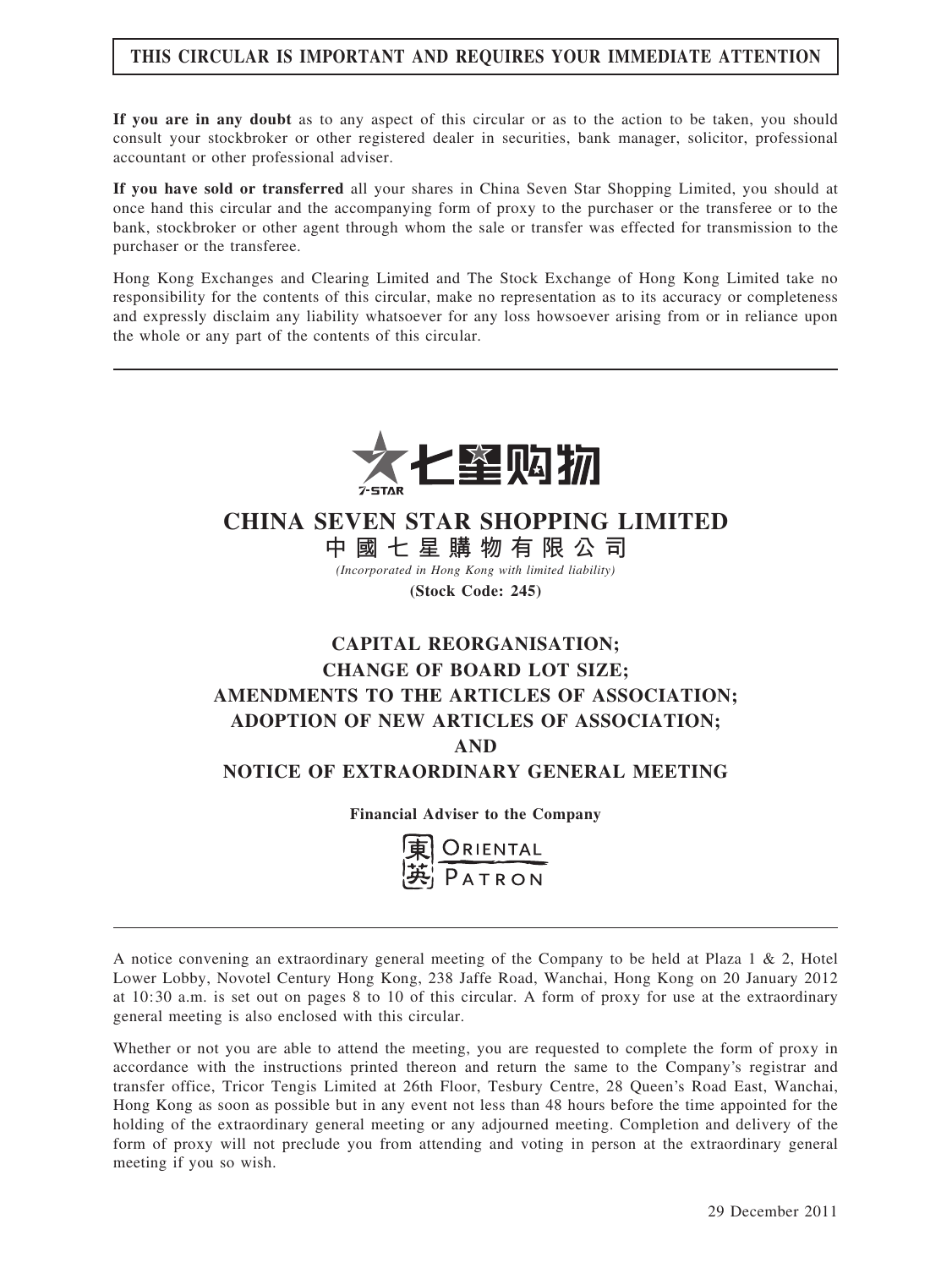# THIS CIRCULAR IS IMPORTANT AND REQUIRES YOUR IMMEDIATE ATTENTION

If you are in any doubt as to any aspect of this circular or as to the action to be taken, you should consult your stockbroker or other registered dealer in securities, bank manager, solicitor, professional accountant or other professional adviser.

If you have sold or transferred all your shares in China Seven Star Shopping Limited, you should at once hand this circular and the accompanying form of proxy to the purchaser or the transferee or to the bank, stockbroker or other agent through whom the sale or transfer was effected for transmission to the purchaser or the transferee.

Hong Kong Exchanges and Clearing Limited and The Stock Exchange of Hong Kong Limited take no responsibility for the contents of this circular, make no representation as to its accuracy or completeness and expressly disclaim any liability whatsoever for any loss howsoever arising from or in reliance upon the whole or any part of the contents of this circular.



# CHINA SEVEN STAR SHOPPING LIMITED

中 國 七 星 購 物 有 限 公 司 (Incorporated in Hong Kong with limited liability)

(Stock Code: 245)

# CAPITAL REORGANISATION; CHANGE OF BOARD LOT SIZE; AMENDMENTS TO THE ARTICLES OF ASSOCIATION; ADOPTION OF NEW ARTICLES OF ASSOCIATION; AND NOTICE OF EXTRAORDINARY GENERAL MEETING

Financial Adviser to the Company



A notice convening an extraordinary general meeting of the Company to be held at Plaza 1 & 2, Hotel Lower Lobby, Novotel Century Hong Kong, 238 Jaffe Road, Wanchai, Hong Kong on 20 January 2012 at 10:30 a.m. is set out on pages 8 to 10 of this circular. A form of proxy for use at the extraordinary general meeting is also enclosed with this circular.

Whether or not you are able to attend the meeting, you are requested to complete the form of proxy in accordance with the instructions printed thereon and return the same to the Company's registrar and transfer office, Tricor Tengis Limited at 26th Floor, Tesbury Centre, 28 Queen's Road East, Wanchai, Hong Kong as soon as possible but in any event not less than 48 hours before the time appointed for the holding of the extraordinary general meeting or any adjourned meeting. Completion and delivery of the form of proxy will not preclude you from attending and voting in person at the extraordinary general meeting if you so wish.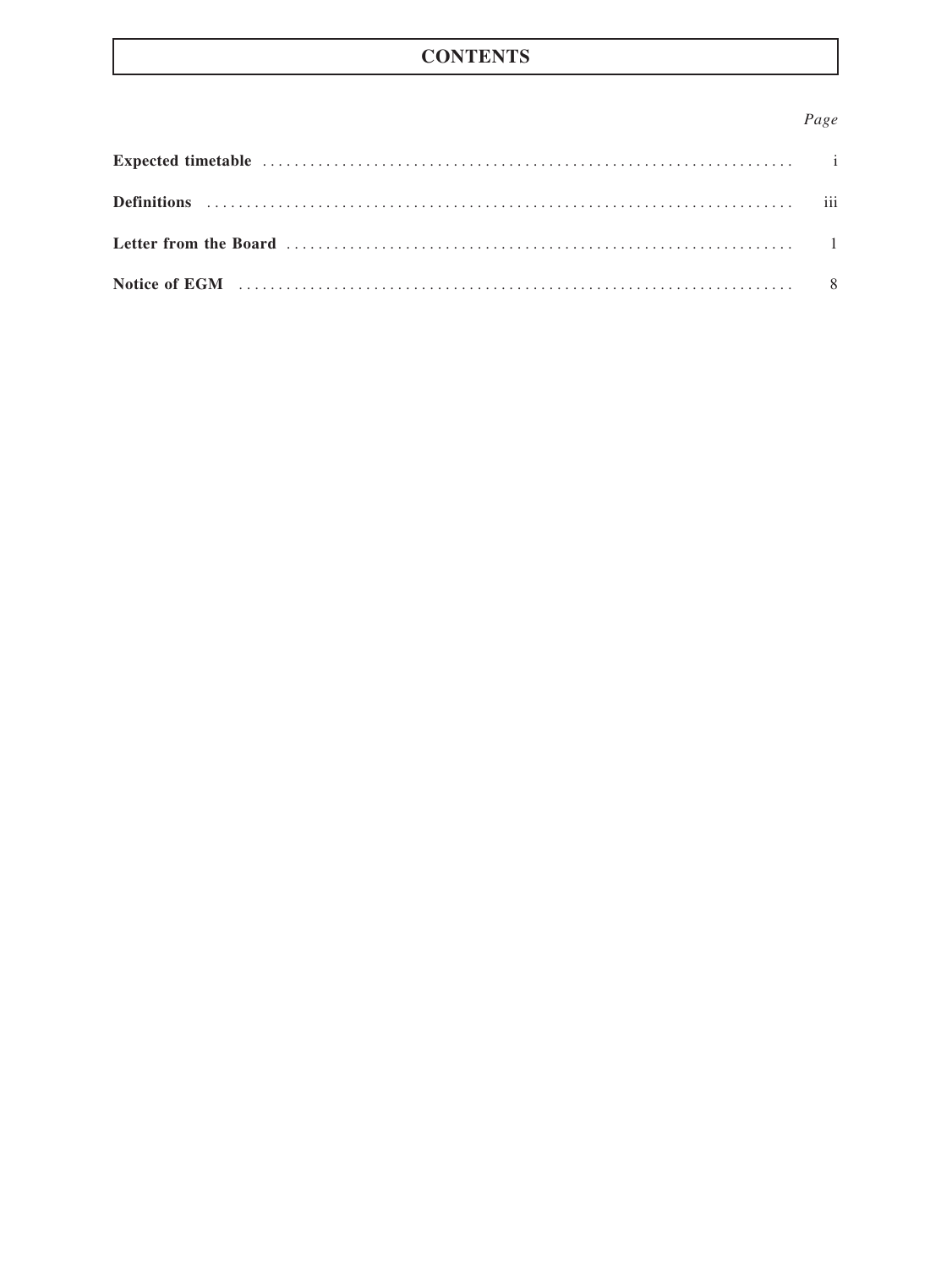# **CONTENTS**

### Page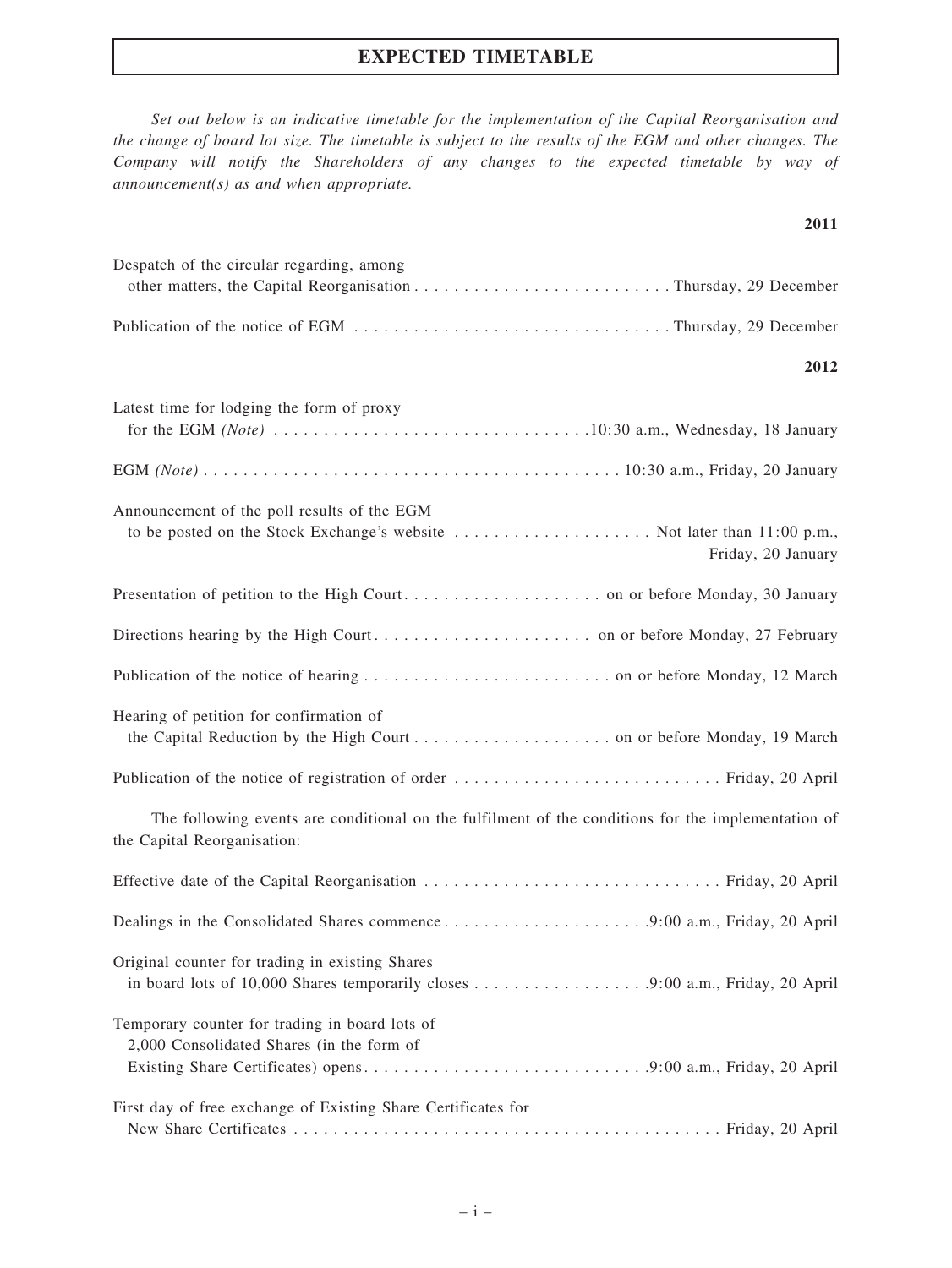### EXPECTED TIMETABLE

Set out below is an indicative timetable for the implementation of the Capital Reorganisation and the change of board lot size. The timetable is subject to the results of the EGM and other changes. The Company will notify the Shareholders of any changes to the expected timetable by way of announcement(s) as and when appropriate.

2011

| Despatch of the circular regarding, among                                                                                                     |
|-----------------------------------------------------------------------------------------------------------------------------------------------|
|                                                                                                                                               |
| 2012                                                                                                                                          |
|                                                                                                                                               |
| Latest time for lodging the form of proxy                                                                                                     |
|                                                                                                                                               |
| Announcement of the poll results of the EGM<br>to be posted on the Stock Exchange's website  Not later than 11:00 p.m.,<br>Friday, 20 January |
|                                                                                                                                               |
|                                                                                                                                               |
|                                                                                                                                               |
| Hearing of petition for confirmation of                                                                                                       |
|                                                                                                                                               |
| The following events are conditional on the fulfilment of the conditions for the implementation of<br>the Capital Reorganisation:             |
|                                                                                                                                               |
| Dealings in the Consolidated Shares commence9:00 a.m., Friday, 20 April                                                                       |
| Original counter for trading in existing Shares                                                                                               |
| Temporary counter for trading in board lots of<br>2,000 Consolidated Shares (in the form of                                                   |
| First day of free exchange of Existing Share Certificates for                                                                                 |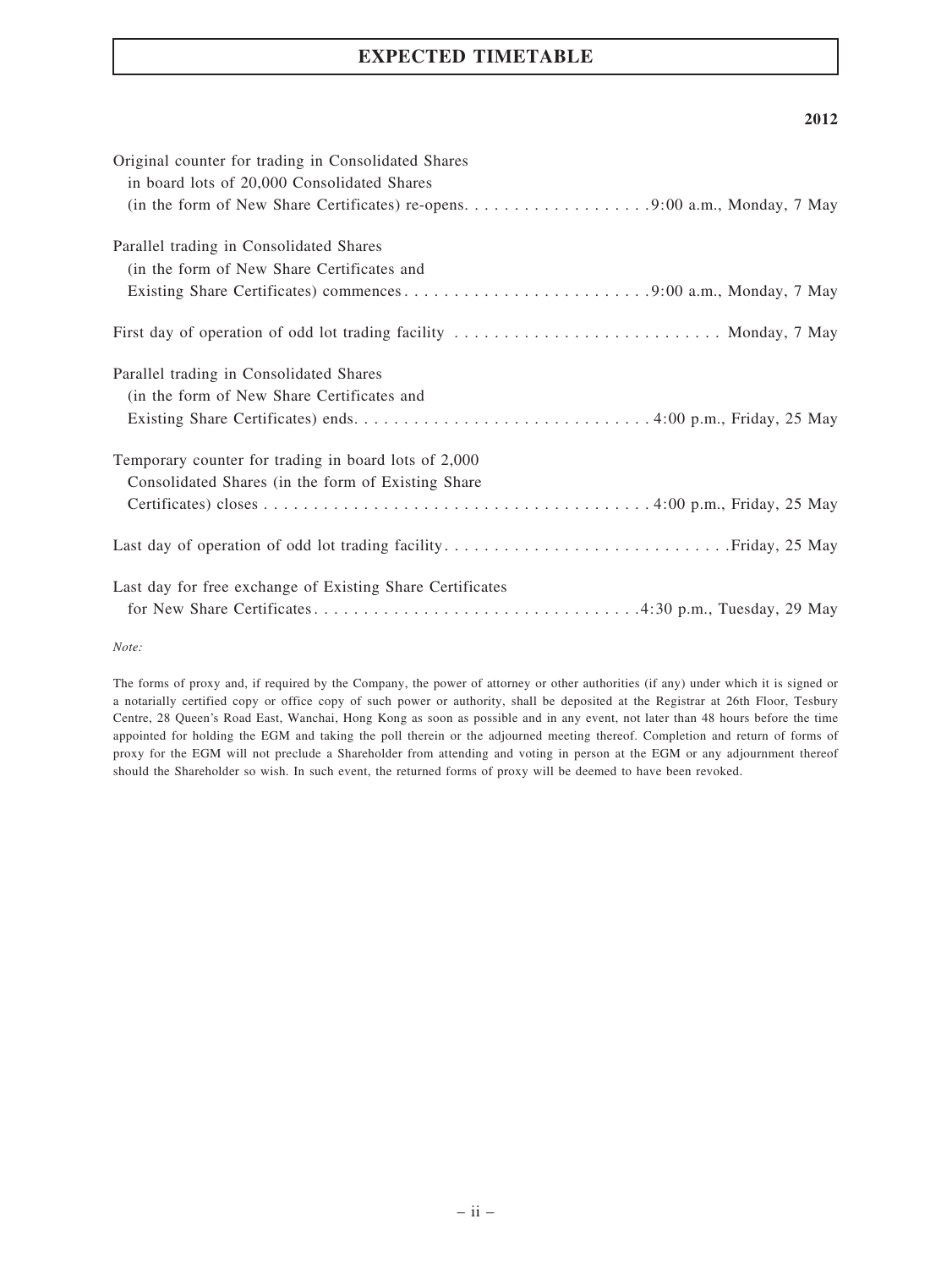## EXPECTED TIMETABLE

#### 2012

| Original counter for trading in Consolidated Shares<br>in board lots of 20,000 Consolidated Shares |
|----------------------------------------------------------------------------------------------------|
|                                                                                                    |
| Parallel trading in Consolidated Shares                                                            |
| (in the form of New Share Certificates and                                                         |
|                                                                                                    |
| First day of operation of odd lot trading facility  Monday, 7 May                                  |
| Parallel trading in Consolidated Shares                                                            |
| (in the form of New Share Certificates and                                                         |
|                                                                                                    |
| Temporary counter for trading in board lots of 2,000                                               |
| Consolidated Shares (in the form of Existing Share)                                                |
|                                                                                                    |
|                                                                                                    |
| Last day for free exchange of Existing Share Certificates                                          |
|                                                                                                    |

Note:

The forms of proxy and, if required by the Company, the power of attorney or other authorities (if any) under which it is signed or a notarially certified copy or office copy of such power or authority, shall be deposited at the Registrar at 26th Floor, Tesbury Centre, 28 Queen's Road East, Wanchai, Hong Kong as soon as possible and in any event, not later than 48 hours before the time appointed for holding the EGM and taking the poll therein or the adjourned meeting thereof. Completion and return of forms of proxy for the EGM will not preclude a Shareholder from attending and voting in person at the EGM or any adjournment thereof should the Shareholder so wish. In such event, the returned forms of proxy will be deemed to have been revoked.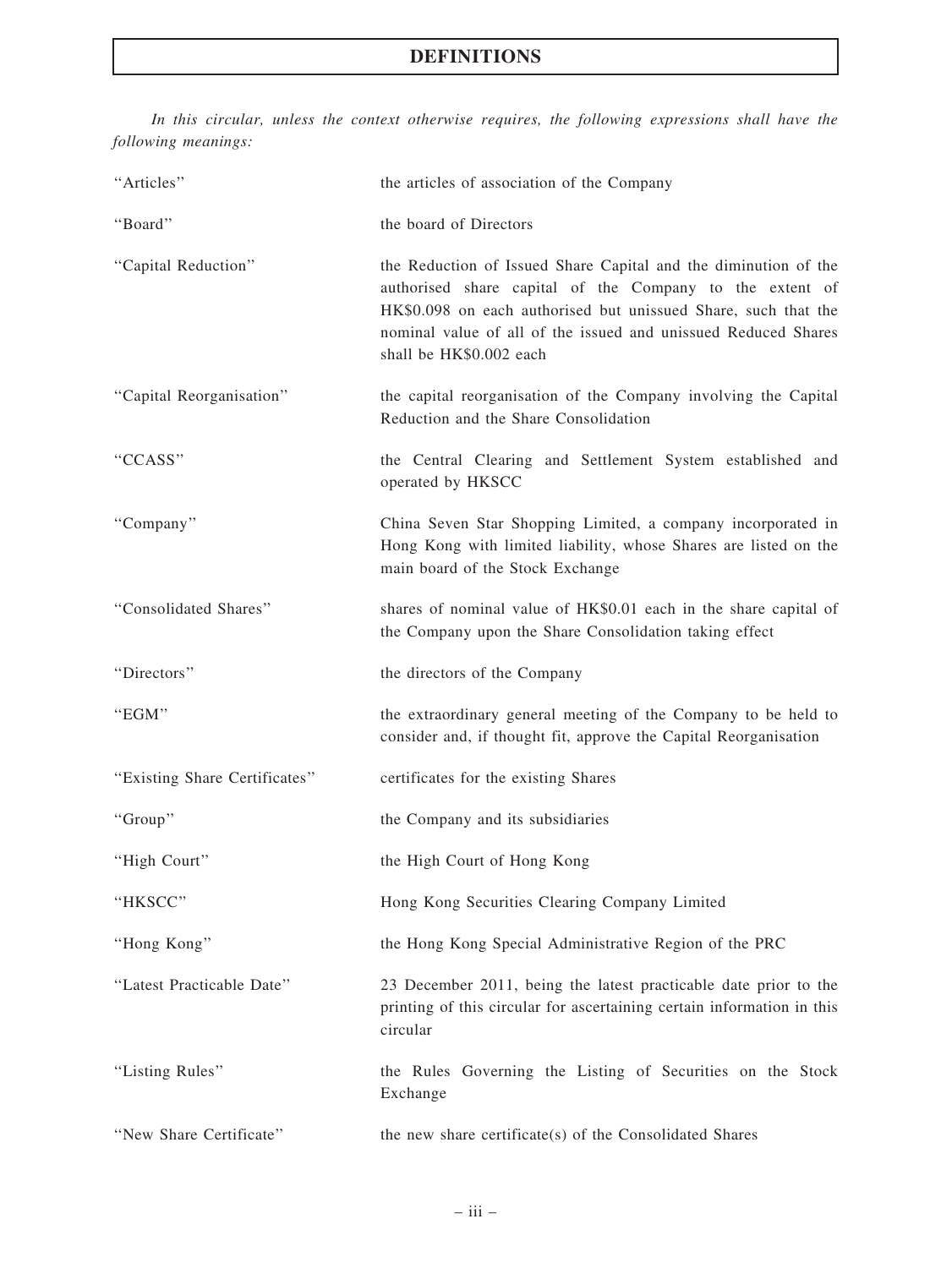# DEFINITIONS

In this circular, unless the context otherwise requires, the following expressions shall have the following meanings:

| "Articles"                    | the articles of association of the Company                                                                                                                                                                                                                                                 |
|-------------------------------|--------------------------------------------------------------------------------------------------------------------------------------------------------------------------------------------------------------------------------------------------------------------------------------------|
| "Board"                       | the board of Directors                                                                                                                                                                                                                                                                     |
| "Capital Reduction"           | the Reduction of Issued Share Capital and the diminution of the<br>authorised share capital of the Company to the extent of<br>HK\$0.098 on each authorised but unissued Share, such that the<br>nominal value of all of the issued and unissued Reduced Shares<br>shall be HK\$0.002 each |
| "Capital Reorganisation"      | the capital reorganisation of the Company involving the Capital<br>Reduction and the Share Consolidation                                                                                                                                                                                   |
| "CCASS"                       | the Central Clearing and Settlement System established and<br>operated by HKSCC                                                                                                                                                                                                            |
| "Company"                     | China Seven Star Shopping Limited, a company incorporated in<br>Hong Kong with limited liability, whose Shares are listed on the<br>main board of the Stock Exchange                                                                                                                       |
| "Consolidated Shares"         | shares of nominal value of HK\$0.01 each in the share capital of<br>the Company upon the Share Consolidation taking effect                                                                                                                                                                 |
| "Directors"                   | the directors of the Company                                                                                                                                                                                                                                                               |
| "EGM"                         | the extraordinary general meeting of the Company to be held to<br>consider and, if thought fit, approve the Capital Reorganisation                                                                                                                                                         |
| "Existing Share Certificates" | certificates for the existing Shares                                                                                                                                                                                                                                                       |
| "Group"                       | the Company and its subsidiaries                                                                                                                                                                                                                                                           |
| "High Court"                  | the High Court of Hong Kong                                                                                                                                                                                                                                                                |
| "HKSCC"                       | Hong Kong Securities Clearing Company Limited                                                                                                                                                                                                                                              |
| "Hong Kong"                   | the Hong Kong Special Administrative Region of the PRC                                                                                                                                                                                                                                     |
| "Latest Practicable Date"     | 23 December 2011, being the latest practicable date prior to the<br>printing of this circular for ascertaining certain information in this<br>circular                                                                                                                                     |
| "Listing Rules"               | the Rules Governing the Listing of Securities on the Stock<br>Exchange                                                                                                                                                                                                                     |
| "New Share Certificate"       | the new share certificate(s) of the Consolidated Shares                                                                                                                                                                                                                                    |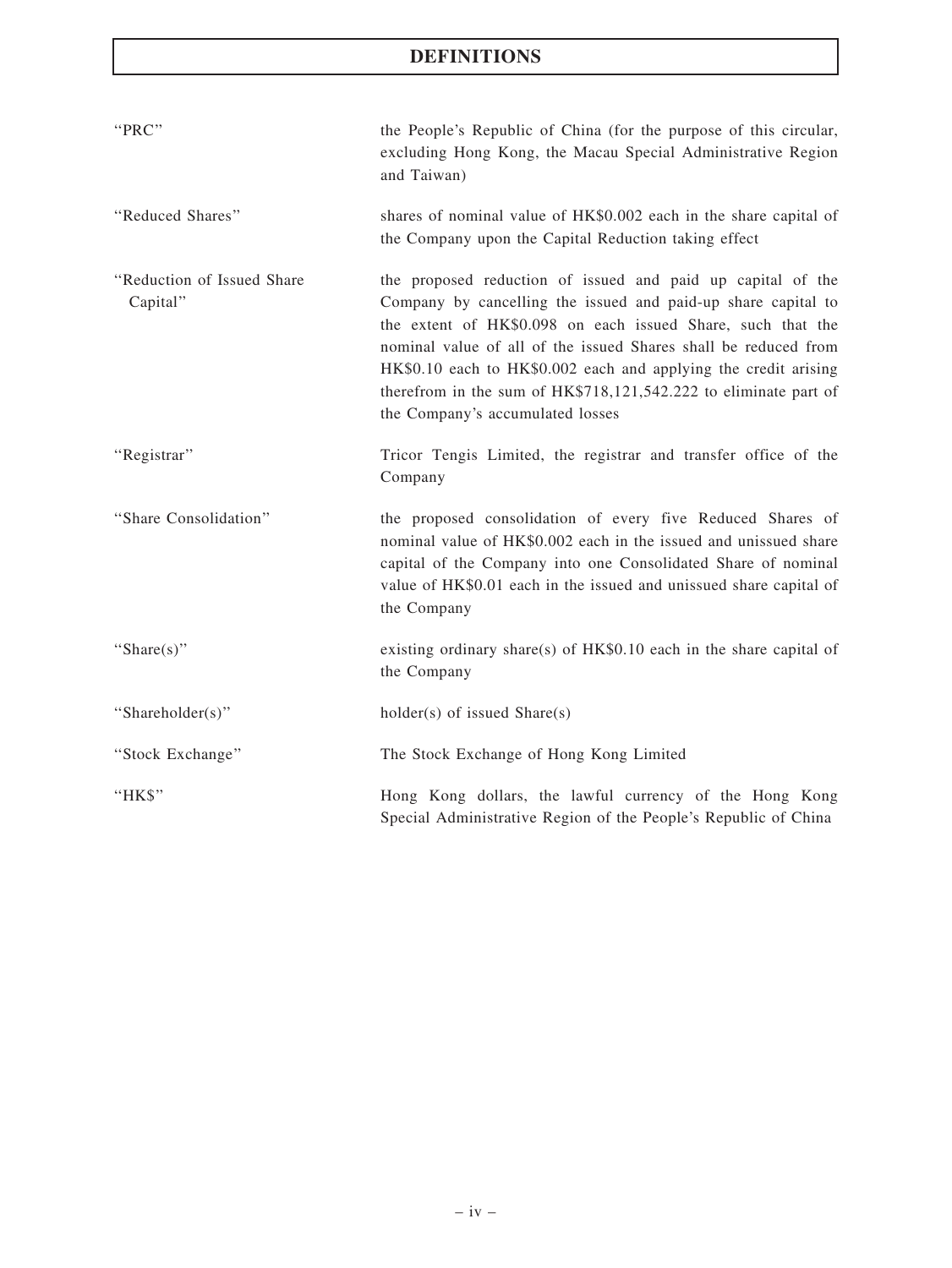# DEFINITIONS

| "PRC"                                  | the People's Republic of China (for the purpose of this circular,<br>excluding Hong Kong, the Macau Special Administrative Region<br>and Taiwan)                                                                                                                                                                                                                                                                                          |
|----------------------------------------|-------------------------------------------------------------------------------------------------------------------------------------------------------------------------------------------------------------------------------------------------------------------------------------------------------------------------------------------------------------------------------------------------------------------------------------------|
| "Reduced Shares"                       | shares of nominal value of HK\$0.002 each in the share capital of<br>the Company upon the Capital Reduction taking effect                                                                                                                                                                                                                                                                                                                 |
| "Reduction of Issued Share<br>Capital" | the proposed reduction of issued and paid up capital of the<br>Company by cancelling the issued and paid-up share capital to<br>the extent of HK\$0.098 on each issued Share, such that the<br>nominal value of all of the issued Shares shall be reduced from<br>HK\$0.10 each to HK\$0.002 each and applying the credit arising<br>therefrom in the sum of HK\$718,121,542.222 to eliminate part of<br>the Company's accumulated losses |
| "Registrar"                            | Tricor Tengis Limited, the registrar and transfer office of the<br>Company                                                                                                                                                                                                                                                                                                                                                                |
| "Share Consolidation"                  | the proposed consolidation of every five Reduced Shares of<br>nominal value of HK\$0.002 each in the issued and unissued share<br>capital of the Company into one Consolidated Share of nominal<br>value of HK\$0.01 each in the issued and unissued share capital of<br>the Company                                                                                                                                                      |
| "Share $(s)$ "                         | existing ordinary share(s) of $HK$0.10$ each in the share capital of<br>the Company                                                                                                                                                                                                                                                                                                                                                       |
| "Shareholder(s)"                       | $holder(s)$ of issued $Share(s)$                                                                                                                                                                                                                                                                                                                                                                                                          |
| "Stock Exchange"                       | The Stock Exchange of Hong Kong Limited                                                                                                                                                                                                                                                                                                                                                                                                   |
| "HK\$"                                 | Hong Kong dollars, the lawful currency of the Hong Kong<br>Special Administrative Region of the People's Republic of China                                                                                                                                                                                                                                                                                                                |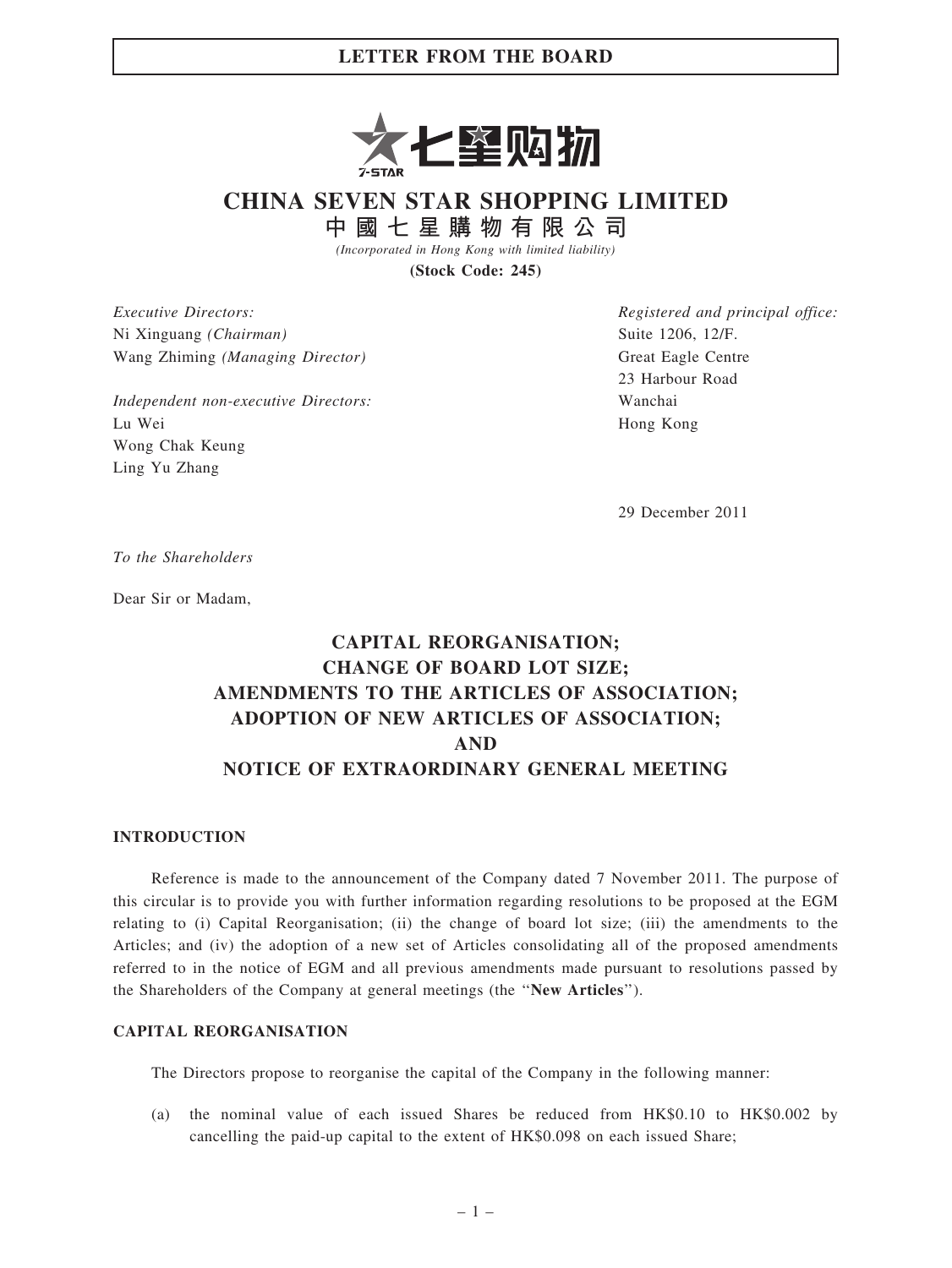

CHINA SEVEN STAR SHOPPING LIMITED

中 國 七 星 購 物 有 限 公 司

(Incorporated in Hong Kong with limited liability)

(Stock Code: 245)

Executive Directors: Ni Xinguang (Chairman) Wang Zhiming (Managing Director)

Independent non-executive Directors: Lu Wei Wong Chak Keung Ling Yu Zhang

Registered and principal office: Suite 1206, 12/F. Great Eagle Centre 23 Harbour Road Wanchai Hong Kong

29 December 2011

To the Shareholders

Dear Sir or Madam,

# CAPITAL REORGANISATION; CHANGE OF BOARD LOT SIZE; AMENDMENTS TO THE ARTICLES OF ASSOCIATION; ADOPTION OF NEW ARTICLES OF ASSOCIATION; AND NOTICE OF EXTRAORDINARY GENERAL MEETING

#### INTRODUCTION

Reference is made to the announcement of the Company dated 7 November 2011. The purpose of this circular is to provide you with further information regarding resolutions to be proposed at the EGM relating to (i) Capital Reorganisation; (ii) the change of board lot size; (iii) the amendments to the Articles; and (iv) the adoption of a new set of Articles consolidating all of the proposed amendments referred to in the notice of EGM and all previous amendments made pursuant to resolutions passed by the Shareholders of the Company at general meetings (the ''New Articles'').

### CAPITAL REORGANISATION

The Directors propose to reorganise the capital of the Company in the following manner:

(a) the nominal value of each issued Shares be reduced from HK\$0.10 to HK\$0.002 by cancelling the paid-up capital to the extent of HK\$0.098 on each issued Share;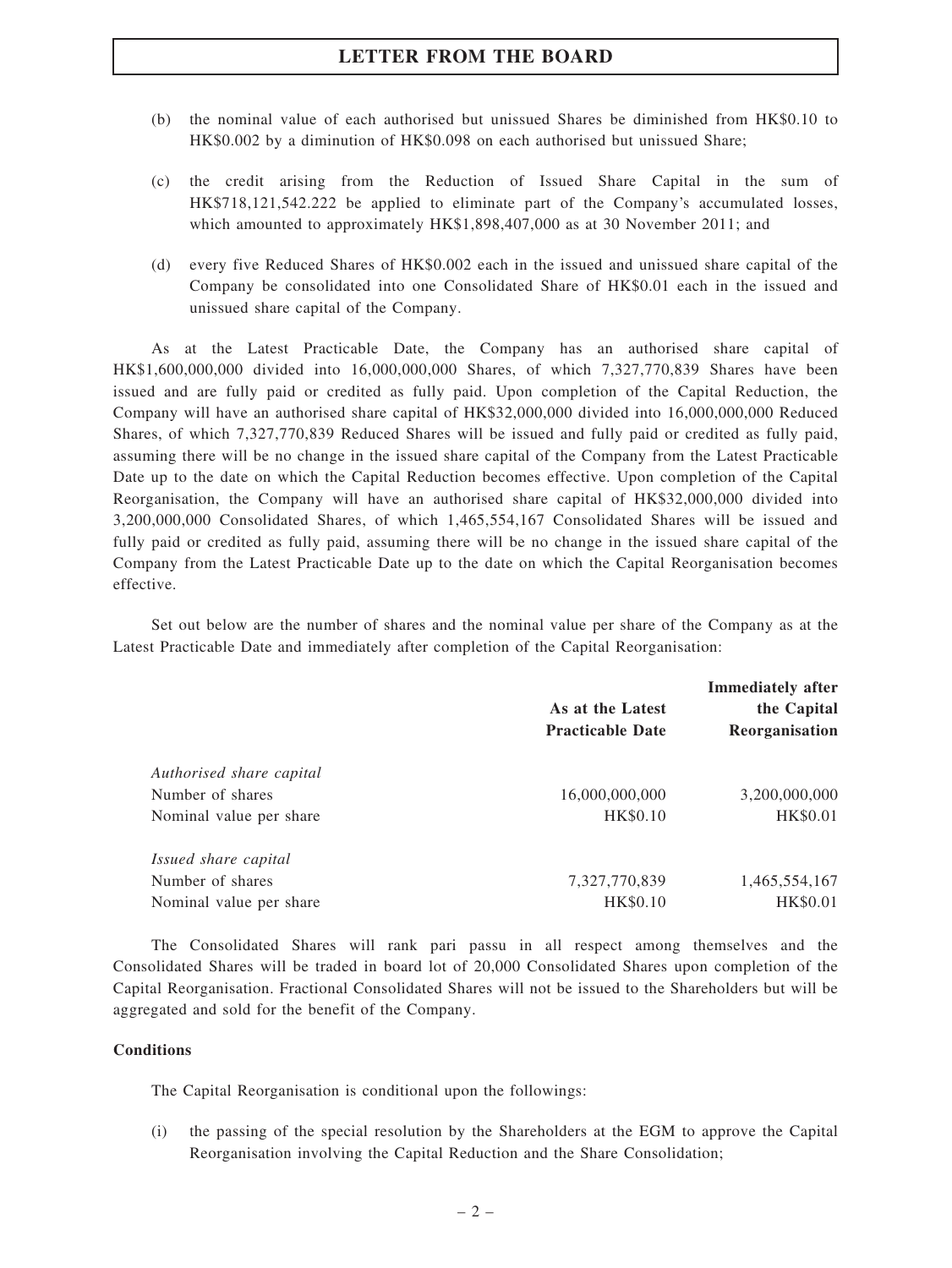- (b) the nominal value of each authorised but unissued Shares be diminished from HK\$0.10 to HK\$0.002 by a diminution of HK\$0.098 on each authorised but unissued Share;
- (c) the credit arising from the Reduction of Issued Share Capital in the sum of HK\$718,121,542.222 be applied to eliminate part of the Company's accumulated losses, which amounted to approximately HK\$1,898,407,000 as at 30 November 2011; and
- (d) every five Reduced Shares of HK\$0.002 each in the issued and unissued share capital of the Company be consolidated into one Consolidated Share of HK\$0.01 each in the issued and unissued share capital of the Company.

As at the Latest Practicable Date, the Company has an authorised share capital of HK\$1,600,000,000 divided into 16,000,000,000 Shares, of which 7,327,770,839 Shares have been issued and are fully paid or credited as fully paid. Upon completion of the Capital Reduction, the Company will have an authorised share capital of HK\$32,000,000 divided into 16,000,000,000 Reduced Shares, of which 7,327,770,839 Reduced Shares will be issued and fully paid or credited as fully paid, assuming there will be no change in the issued share capital of the Company from the Latest Practicable Date up to the date on which the Capital Reduction becomes effective. Upon completion of the Capital Reorganisation, the Company will have an authorised share capital of HK\$32,000,000 divided into 3,200,000,000 Consolidated Shares, of which 1,465,554,167 Consolidated Shares will be issued and fully paid or credited as fully paid, assuming there will be no change in the issued share capital of the Company from the Latest Practicable Date up to the date on which the Capital Reorganisation becomes effective.

Set out below are the number of shares and the nominal value per share of the Company as at the Latest Practicable Date and immediately after completion of the Capital Reorganisation:

|                          | As at the Latest<br><b>Practicable Date</b> | <b>Immediately after</b><br>the Capital<br>Reorganisation |
|--------------------------|---------------------------------------------|-----------------------------------------------------------|
| Authorised share capital |                                             |                                                           |
| Number of shares         | 16,000,000,000                              | 3,200,000,000                                             |
| Nominal value per share  | HK\$0.10                                    | HK\$0.01                                                  |
| Issued share capital     |                                             |                                                           |
| Number of shares         | 7,327,770,839                               | 1,465,554,167                                             |
| Nominal value per share  | HK\$0.10                                    | HK\$0.01                                                  |

The Consolidated Shares will rank pari passu in all respect among themselves and the Consolidated Shares will be traded in board lot of 20,000 Consolidated Shares upon completion of the Capital Reorganisation. Fractional Consolidated Shares will not be issued to the Shareholders but will be aggregated and sold for the benefit of the Company.

#### **Conditions**

The Capital Reorganisation is conditional upon the followings:

(i) the passing of the special resolution by the Shareholders at the EGM to approve the Capital Reorganisation involving the Capital Reduction and the Share Consolidation;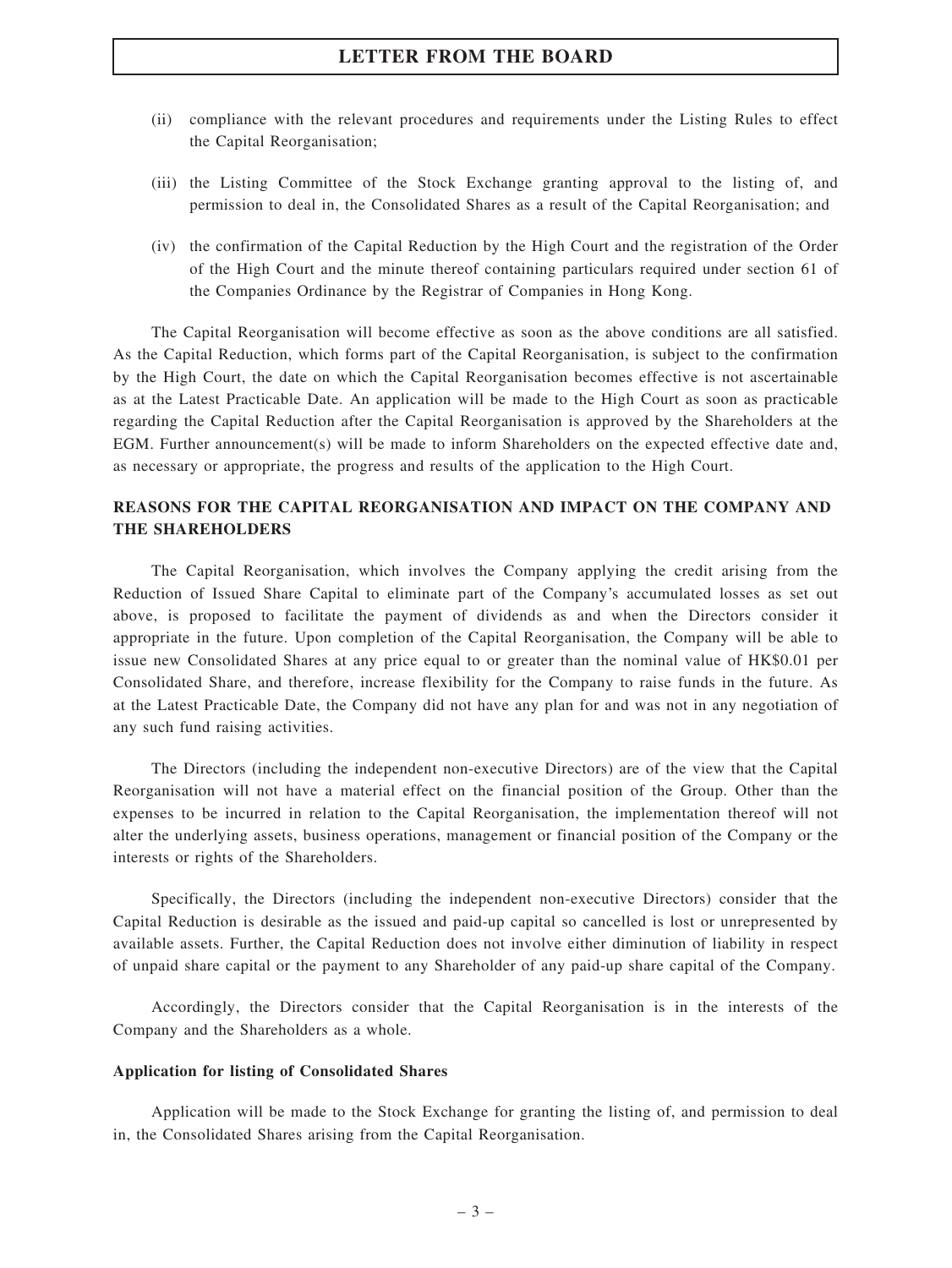- (ii) compliance with the relevant procedures and requirements under the Listing Rules to effect the Capital Reorganisation;
- (iii) the Listing Committee of the Stock Exchange granting approval to the listing of, and permission to deal in, the Consolidated Shares as a result of the Capital Reorganisation; and
- (iv) the confirmation of the Capital Reduction by the High Court and the registration of the Order of the High Court and the minute thereof containing particulars required under section 61 of the Companies Ordinance by the Registrar of Companies in Hong Kong.

The Capital Reorganisation will become effective as soon as the above conditions are all satisfied. As the Capital Reduction, which forms part of the Capital Reorganisation, is subject to the confirmation by the High Court, the date on which the Capital Reorganisation becomes effective is not ascertainable as at the Latest Practicable Date. An application will be made to the High Court as soon as practicable regarding the Capital Reduction after the Capital Reorganisation is approved by the Shareholders at the EGM. Further announcement(s) will be made to inform Shareholders on the expected effective date and, as necessary or appropriate, the progress and results of the application to the High Court.

### REASONS FOR THE CAPITAL REORGANISATION AND IMPACT ON THE COMPANY AND THE SHAREHOLDERS

The Capital Reorganisation, which involves the Company applying the credit arising from the Reduction of Issued Share Capital to eliminate part of the Company's accumulated losses as set out above, is proposed to facilitate the payment of dividends as and when the Directors consider it appropriate in the future. Upon completion of the Capital Reorganisation, the Company will be able to issue new Consolidated Shares at any price equal to or greater than the nominal value of HK\$0.01 per Consolidated Share, and therefore, increase flexibility for the Company to raise funds in the future. As at the Latest Practicable Date, the Company did not have any plan for and was not in any negotiation of any such fund raising activities.

The Directors (including the independent non-executive Directors) are of the view that the Capital Reorganisation will not have a material effect on the financial position of the Group. Other than the expenses to be incurred in relation to the Capital Reorganisation, the implementation thereof will not alter the underlying assets, business operations, management or financial position of the Company or the interests or rights of the Shareholders.

Specifically, the Directors (including the independent non-executive Directors) consider that the Capital Reduction is desirable as the issued and paid-up capital so cancelled is lost or unrepresented by available assets. Further, the Capital Reduction does not involve either diminution of liability in respect of unpaid share capital or the payment to any Shareholder of any paid-up share capital of the Company.

Accordingly, the Directors consider that the Capital Reorganisation is in the interests of the Company and the Shareholders as a whole.

#### Application for listing of Consolidated Shares

Application will be made to the Stock Exchange for granting the listing of, and permission to deal in, the Consolidated Shares arising from the Capital Reorganisation.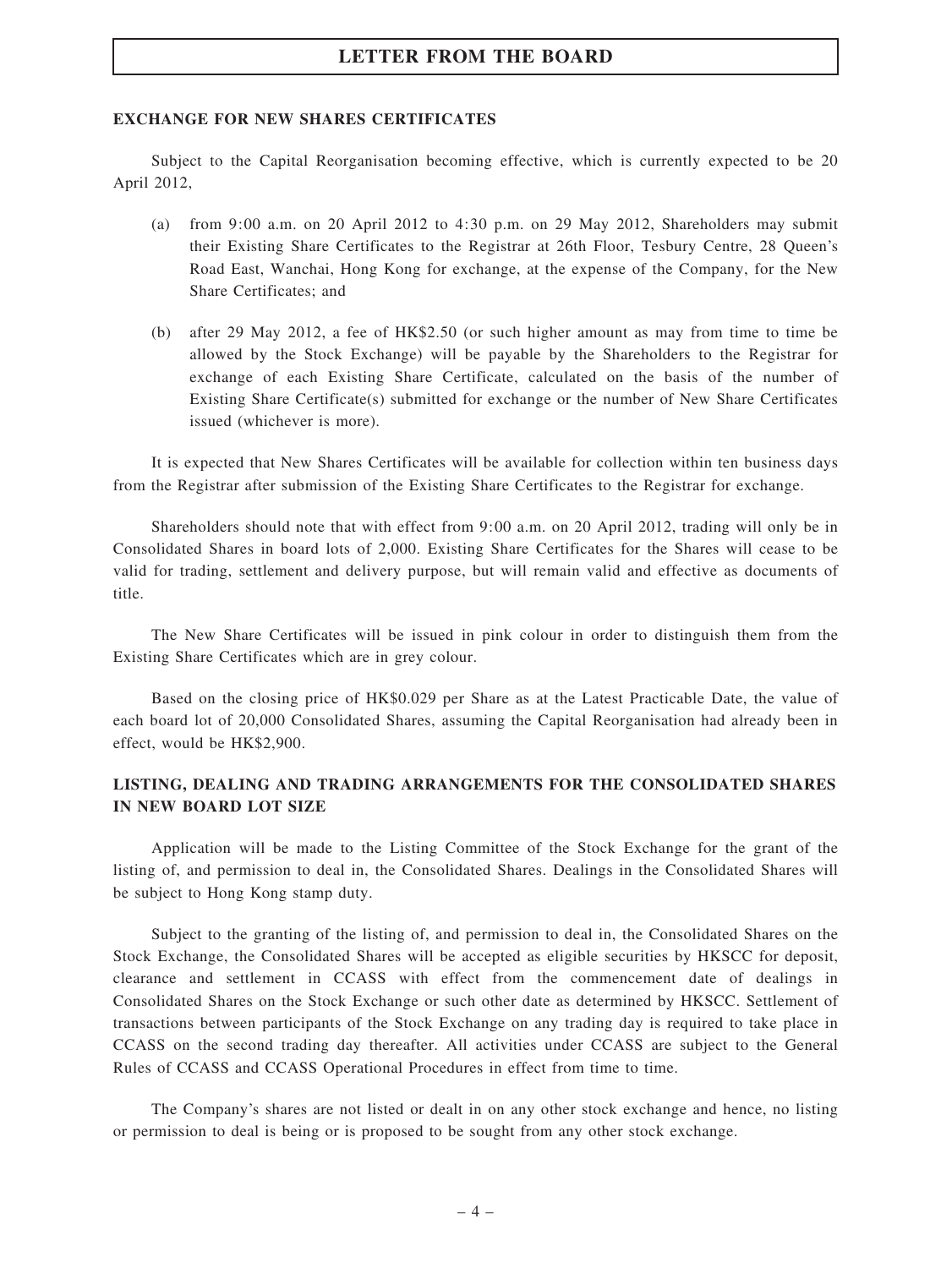#### EXCHANGE FOR NEW SHARES CERTIFICATES

Subject to the Capital Reorganisation becoming effective, which is currently expected to be 20 April 2012,

- (a) from 9:00 a.m. on 20 April 2012 to 4:30 p.m. on 29 May 2012, Shareholders may submit their Existing Share Certificates to the Registrar at 26th Floor, Tesbury Centre, 28 Queen's Road East, Wanchai, Hong Kong for exchange, at the expense of the Company, for the New Share Certificates; and
- (b) after 29 May 2012, a fee of HK\$2.50 (or such higher amount as may from time to time be allowed by the Stock Exchange) will be payable by the Shareholders to the Registrar for exchange of each Existing Share Certificate, calculated on the basis of the number of Existing Share Certificate(s) submitted for exchange or the number of New Share Certificates issued (whichever is more).

It is expected that New Shares Certificates will be available for collection within ten business days from the Registrar after submission of the Existing Share Certificates to the Registrar for exchange.

Shareholders should note that with effect from 9:00 a.m. on 20 April 2012, trading will only be in Consolidated Shares in board lots of 2,000. Existing Share Certificates for the Shares will cease to be valid for trading, settlement and delivery purpose, but will remain valid and effective as documents of title.

The New Share Certificates will be issued in pink colour in order to distinguish them from the Existing Share Certificates which are in grey colour.

Based on the closing price of HK\$0.029 per Share as at the Latest Practicable Date, the value of each board lot of 20,000 Consolidated Shares, assuming the Capital Reorganisation had already been in effect, would be HK\$2,900.

### LISTING, DEALING AND TRADING ARRANGEMENTS FOR THE CONSOLIDATED SHARES IN NEW BOARD LOT SIZE

Application will be made to the Listing Committee of the Stock Exchange for the grant of the listing of, and permission to deal in, the Consolidated Shares. Dealings in the Consolidated Shares will be subject to Hong Kong stamp duty.

Subject to the granting of the listing of, and permission to deal in, the Consolidated Shares on the Stock Exchange, the Consolidated Shares will be accepted as eligible securities by HKSCC for deposit, clearance and settlement in CCASS with effect from the commencement date of dealings in Consolidated Shares on the Stock Exchange or such other date as determined by HKSCC. Settlement of transactions between participants of the Stock Exchange on any trading day is required to take place in CCASS on the second trading day thereafter. All activities under CCASS are subject to the General Rules of CCASS and CCASS Operational Procedures in effect from time to time.

The Company's shares are not listed or dealt in on any other stock exchange and hence, no listing or permission to deal is being or is proposed to be sought from any other stock exchange.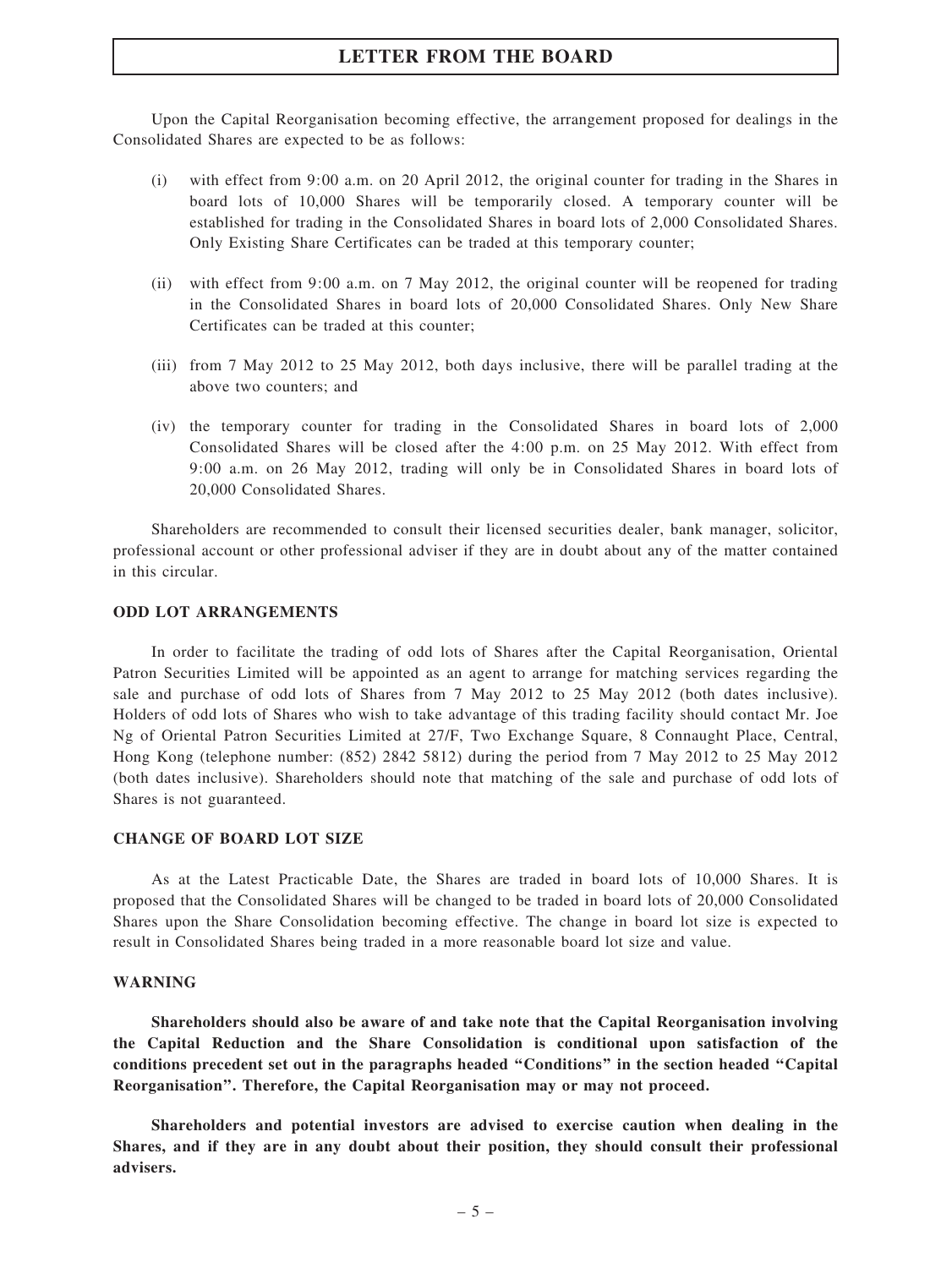Upon the Capital Reorganisation becoming effective, the arrangement proposed for dealings in the Consolidated Shares are expected to be as follows:

- (i) with effect from 9:00 a.m. on 20 April 2012, the original counter for trading in the Shares in board lots of 10,000 Shares will be temporarily closed. A temporary counter will be established for trading in the Consolidated Shares in board lots of 2,000 Consolidated Shares. Only Existing Share Certificates can be traded at this temporary counter;
- (ii) with effect from 9:00 a.m. on 7 May 2012, the original counter will be reopened for trading in the Consolidated Shares in board lots of 20,000 Consolidated Shares. Only New Share Certificates can be traded at this counter;
- (iii) from 7 May 2012 to 25 May 2012, both days inclusive, there will be parallel trading at the above two counters; and
- (iv) the temporary counter for trading in the Consolidated Shares in board lots of 2,000 Consolidated Shares will be closed after the 4:00 p.m. on 25 May 2012. With effect from 9:00 a.m. on 26 May 2012, trading will only be in Consolidated Shares in board lots of 20,000 Consolidated Shares.

Shareholders are recommended to consult their licensed securities dealer, bank manager, solicitor, professional account or other professional adviser if they are in doubt about any of the matter contained in this circular.

### ODD LOT ARRANGEMENTS

In order to facilitate the trading of odd lots of Shares after the Capital Reorganisation, Oriental Patron Securities Limited will be appointed as an agent to arrange for matching services regarding the sale and purchase of odd lots of Shares from 7 May 2012 to 25 May 2012 (both dates inclusive). Holders of odd lots of Shares who wish to take advantage of this trading facility should contact Mr. Joe Ng of Oriental Patron Securities Limited at 27/F, Two Exchange Square, 8 Connaught Place, Central, Hong Kong (telephone number: (852) 2842 5812) during the period from 7 May 2012 to 25 May 2012 (both dates inclusive). Shareholders should note that matching of the sale and purchase of odd lots of Shares is not guaranteed.

#### CHANGE OF BOARD LOT SIZE

As at the Latest Practicable Date, the Shares are traded in board lots of 10,000 Shares. It is proposed that the Consolidated Shares will be changed to be traded in board lots of 20,000 Consolidated Shares upon the Share Consolidation becoming effective. The change in board lot size is expected to result in Consolidated Shares being traded in a more reasonable board lot size and value.

#### WARNING

Shareholders should also be aware of and take note that the Capital Reorganisation involving the Capital Reduction and the Share Consolidation is conditional upon satisfaction of the conditions precedent set out in the paragraphs headed ''Conditions'' in the section headed ''Capital Reorganisation''. Therefore, the Capital Reorganisation may or may not proceed.

Shareholders and potential investors are advised to exercise caution when dealing in the Shares, and if they are in any doubt about their position, they should consult their professional advisers.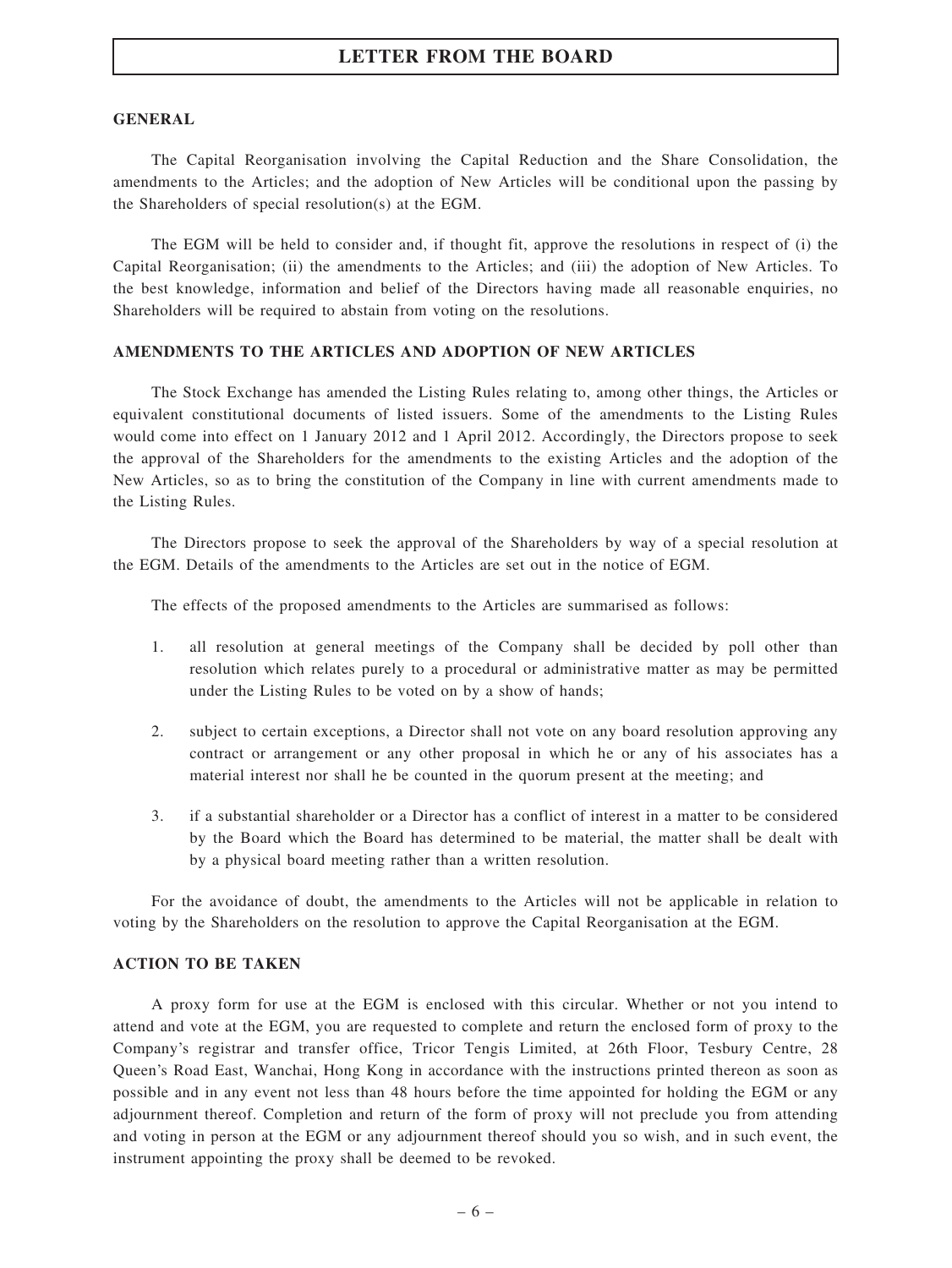#### **GENERAL**

The Capital Reorganisation involving the Capital Reduction and the Share Consolidation, the amendments to the Articles; and the adoption of New Articles will be conditional upon the passing by the Shareholders of special resolution(s) at the EGM.

The EGM will be held to consider and, if thought fit, approve the resolutions in respect of (i) the Capital Reorganisation; (ii) the amendments to the Articles; and (iii) the adoption of New Articles. To the best knowledge, information and belief of the Directors having made all reasonable enquiries, no Shareholders will be required to abstain from voting on the resolutions.

#### AMENDMENTS TO THE ARTICLES AND ADOPTION OF NEW ARTICLES

The Stock Exchange has amended the Listing Rules relating to, among other things, the Articles or equivalent constitutional documents of listed issuers. Some of the amendments to the Listing Rules would come into effect on 1 January 2012 and 1 April 2012. Accordingly, the Directors propose to seek the approval of the Shareholders for the amendments to the existing Articles and the adoption of the New Articles, so as to bring the constitution of the Company in line with current amendments made to the Listing Rules.

The Directors propose to seek the approval of the Shareholders by way of a special resolution at the EGM. Details of the amendments to the Articles are set out in the notice of EGM.

The effects of the proposed amendments to the Articles are summarised as follows:

- 1. all resolution at general meetings of the Company shall be decided by poll other than resolution which relates purely to a procedural or administrative matter as may be permitted under the Listing Rules to be voted on by a show of hands;
- 2. subject to certain exceptions, a Director shall not vote on any board resolution approving any contract or arrangement or any other proposal in which he or any of his associates has a material interest nor shall he be counted in the quorum present at the meeting; and
- 3. if a substantial shareholder or a Director has a conflict of interest in a matter to be considered by the Board which the Board has determined to be material, the matter shall be dealt with by a physical board meeting rather than a written resolution.

For the avoidance of doubt, the amendments to the Articles will not be applicable in relation to voting by the Shareholders on the resolution to approve the Capital Reorganisation at the EGM.

### ACTION TO BE TAKEN

A proxy form for use at the EGM is enclosed with this circular. Whether or not you intend to attend and vote at the EGM, you are requested to complete and return the enclosed form of proxy to the Company's registrar and transfer office, Tricor Tengis Limited, at 26th Floor, Tesbury Centre, 28 Queen's Road East, Wanchai, Hong Kong in accordance with the instructions printed thereon as soon as possible and in any event not less than 48 hours before the time appointed for holding the EGM or any adjournment thereof. Completion and return of the form of proxy will not preclude you from attending and voting in person at the EGM or any adjournment thereof should you so wish, and in such event, the instrument appointing the proxy shall be deemed to be revoked.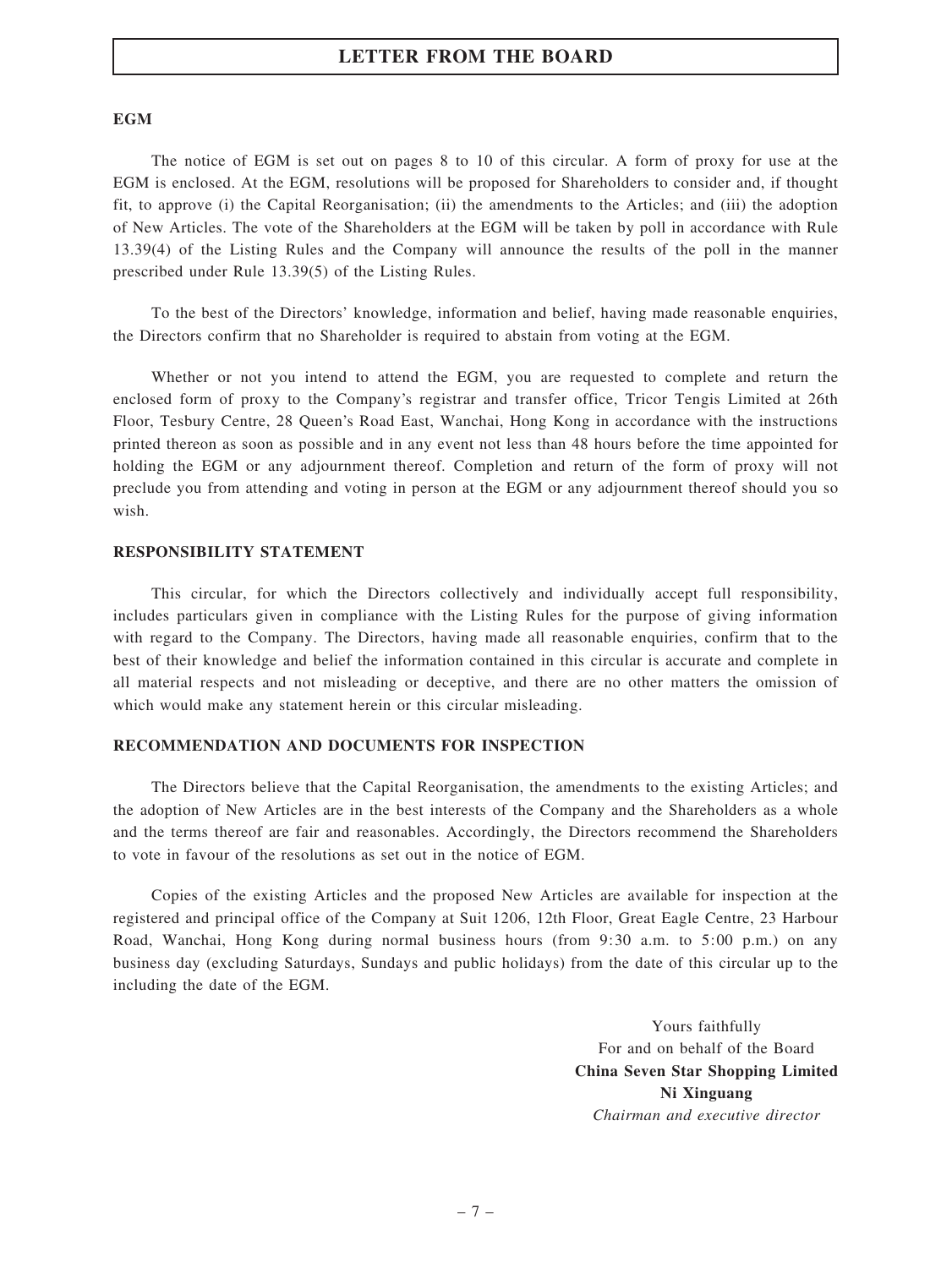#### **EGM**

The notice of EGM is set out on pages 8 to 10 of this circular. A form of proxy for use at the EGM is enclosed. At the EGM, resolutions will be proposed for Shareholders to consider and, if thought fit, to approve (i) the Capital Reorganisation; (ii) the amendments to the Articles; and (iii) the adoption of New Articles. The vote of the Shareholders at the EGM will be taken by poll in accordance with Rule 13.39(4) of the Listing Rules and the Company will announce the results of the poll in the manner prescribed under Rule 13.39(5) of the Listing Rules.

To the best of the Directors' knowledge, information and belief, having made reasonable enquiries, the Directors confirm that no Shareholder is required to abstain from voting at the EGM.

Whether or not you intend to attend the EGM, you are requested to complete and return the enclosed form of proxy to the Company's registrar and transfer office, Tricor Tengis Limited at 26th Floor, Tesbury Centre, 28 Queen's Road East, Wanchai, Hong Kong in accordance with the instructions printed thereon as soon as possible and in any event not less than 48 hours before the time appointed for holding the EGM or any adjournment thereof. Completion and return of the form of proxy will not preclude you from attending and voting in person at the EGM or any adjournment thereof should you so wish.

#### RESPONSIBILITY STATEMENT

This circular, for which the Directors collectively and individually accept full responsibility, includes particulars given in compliance with the Listing Rules for the purpose of giving information with regard to the Company. The Directors, having made all reasonable enquiries, confirm that to the best of their knowledge and belief the information contained in this circular is accurate and complete in all material respects and not misleading or deceptive, and there are no other matters the omission of which would make any statement herein or this circular misleading.

#### RECOMMENDATION AND DOCUMENTS FOR INSPECTION

The Directors believe that the Capital Reorganisation, the amendments to the existing Articles; and the adoption of New Articles are in the best interests of the Company and the Shareholders as a whole and the terms thereof are fair and reasonables. Accordingly, the Directors recommend the Shareholders to vote in favour of the resolutions as set out in the notice of EGM.

Copies of the existing Articles and the proposed New Articles are available for inspection at the registered and principal office of the Company at Suit 1206, 12th Floor, Great Eagle Centre, 23 Harbour Road, Wanchai, Hong Kong during normal business hours (from 9:30 a.m. to 5:00 p.m.) on any business day (excluding Saturdays, Sundays and public holidays) from the date of this circular up to the including the date of the EGM.

> Yours faithfully For and on behalf of the Board China Seven Star Shopping Limited Ni Xinguang Chairman and executive director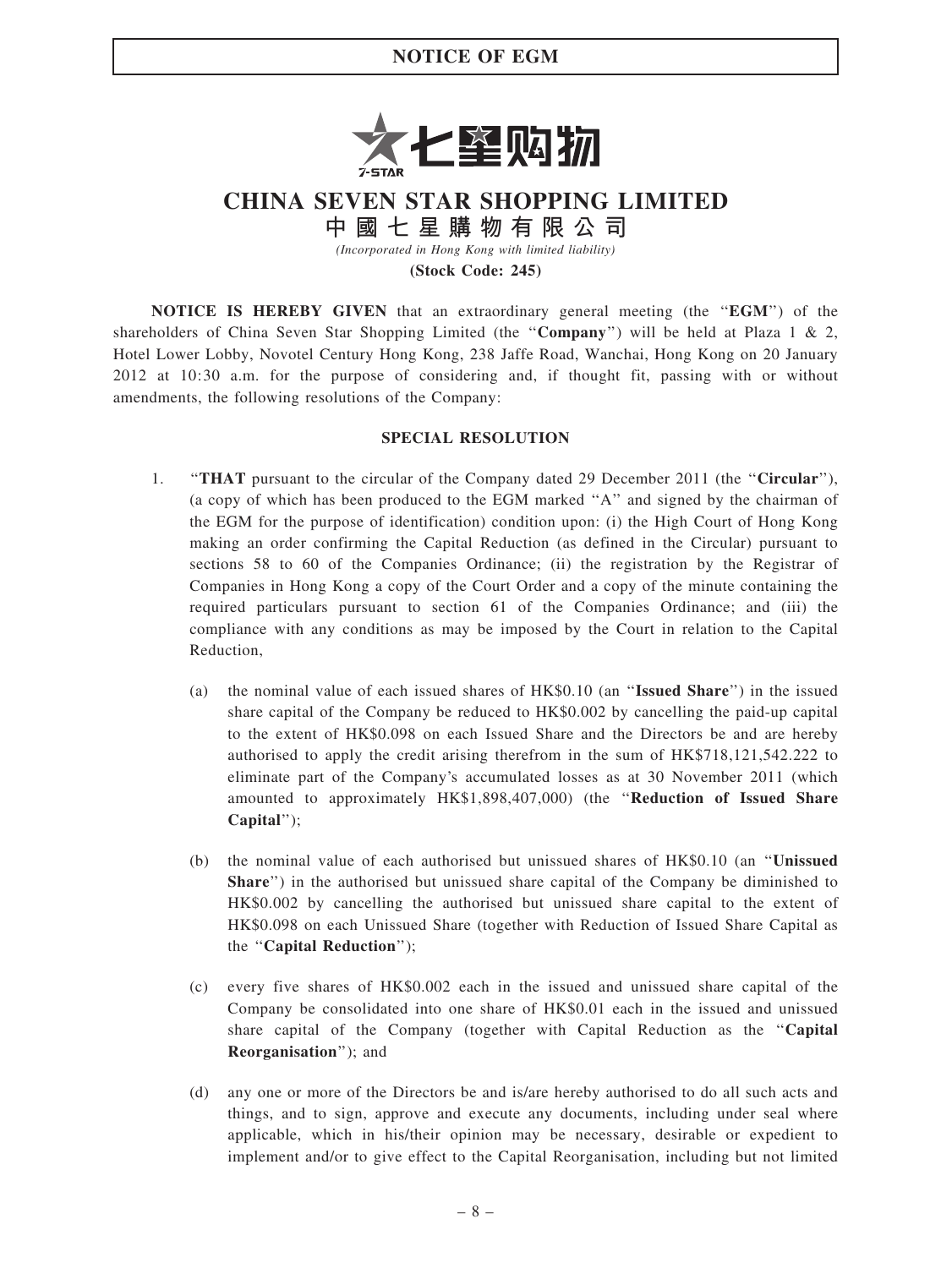## NOTICE OF EGM



# CHINA SEVEN STAR SHOPPING LIMITED

中 國 七 星 購 物 有 限 公 司

(Incorporated in Hong Kong with limited liability)

(Stock Code: 245)

NOTICE IS HEREBY GIVEN that an extraordinary general meeting (the "EGM") of the shareholders of China Seven Star Shopping Limited (the "Company") will be held at Plaza 1 & 2, Hotel Lower Lobby, Novotel Century Hong Kong, 238 Jaffe Road, Wanchai, Hong Kong on 20 January 2012 at 10:30 a.m. for the purpose of considering and, if thought fit, passing with or without amendments, the following resolutions of the Company:

### SPECIAL RESOLUTION

- 1. "THAT pursuant to the circular of the Company dated 29 December 2011 (the "Circular"), (a copy of which has been produced to the EGM marked ''A'' and signed by the chairman of the EGM for the purpose of identification) condition upon: (i) the High Court of Hong Kong making an order confirming the Capital Reduction (as defined in the Circular) pursuant to sections 58 to 60 of the Companies Ordinance; (ii) the registration by the Registrar of Companies in Hong Kong a copy of the Court Order and a copy of the minute containing the required particulars pursuant to section 61 of the Companies Ordinance; and (iii) the compliance with any conditions as may be imposed by the Court in relation to the Capital Reduction,
	- (a) the nominal value of each issued shares of HK\$0.10 (an ''Issued Share'') in the issued share capital of the Company be reduced to HK\$0.002 by cancelling the paid-up capital to the extent of HK\$0.098 on each Issued Share and the Directors be and are hereby authorised to apply the credit arising therefrom in the sum of HK\$718,121,542.222 to eliminate part of the Company's accumulated losses as at 30 November 2011 (which amounted to approximately HK\$1,898,407,000) (the ''Reduction of Issued Share Capital'');
	- (b) the nominal value of each authorised but unissued shares of HK\$0.10 (an ''Unissued Share'') in the authorised but unissued share capital of the Company be diminished to HK\$0.002 by cancelling the authorised but unissued share capital to the extent of HK\$0.098 on each Unissued Share (together with Reduction of Issued Share Capital as the ''Capital Reduction'');
	- (c) every five shares of HK\$0.002 each in the issued and unissued share capital of the Company be consolidated into one share of HK\$0.01 each in the issued and unissued share capital of the Company (together with Capital Reduction as the "Capital Reorganisation''); and
	- (d) any one or more of the Directors be and is/are hereby authorised to do all such acts and things, and to sign, approve and execute any documents, including under seal where applicable, which in his/their opinion may be necessary, desirable or expedient to implement and/or to give effect to the Capital Reorganisation, including but not limited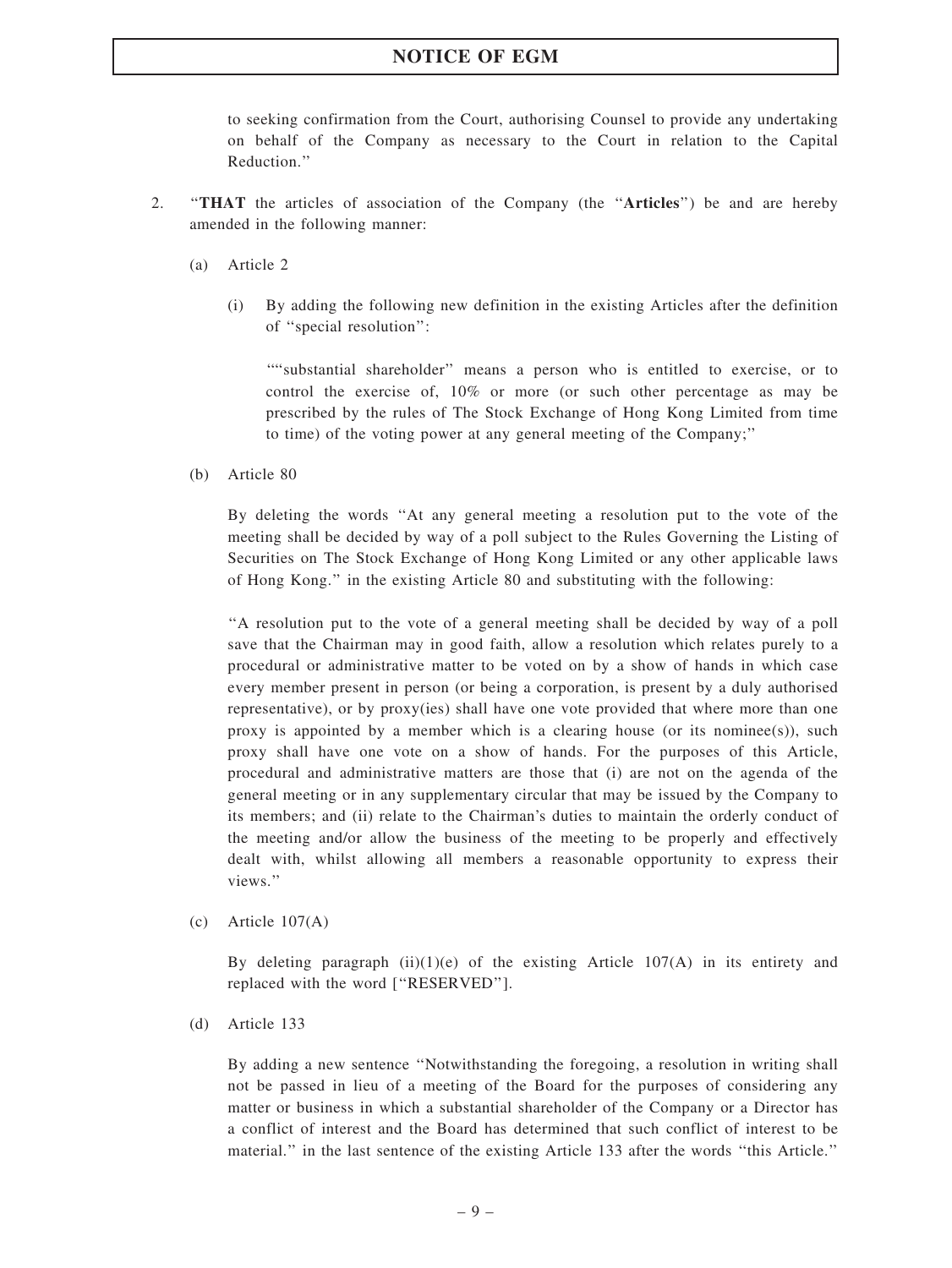### NOTICE OF EGM

to seeking confirmation from the Court, authorising Counsel to provide any undertaking on behalf of the Company as necessary to the Court in relation to the Capital Reduction.''

- 2. ''THAT the articles of association of the Company (the ''Articles'') be and are hereby amended in the following manner:
	- (a) Article 2
		- (i) By adding the following new definition in the existing Articles after the definition of ''special resolution'':

''''substantial shareholder'' means a person who is entitled to exercise, or to control the exercise of, 10% or more (or such other percentage as may be prescribed by the rules of The Stock Exchange of Hong Kong Limited from time to time) of the voting power at any general meeting of the Company;''

(b) Article 80

By deleting the words ''At any general meeting a resolution put to the vote of the meeting shall be decided by way of a poll subject to the Rules Governing the Listing of Securities on The Stock Exchange of Hong Kong Limited or any other applicable laws of Hong Kong.'' in the existing Article 80 and substituting with the following:

''A resolution put to the vote of a general meeting shall be decided by way of a poll save that the Chairman may in good faith, allow a resolution which relates purely to a procedural or administrative matter to be voted on by a show of hands in which case every member present in person (or being a corporation, is present by a duly authorised representative), or by proxy(ies) shall have one vote provided that where more than one proxy is appointed by a member which is a clearing house (or its nominee(s)), such proxy shall have one vote on a show of hands. For the purposes of this Article, procedural and administrative matters are those that (i) are not on the agenda of the general meeting or in any supplementary circular that may be issued by the Company to its members; and (ii) relate to the Chairman's duties to maintain the orderly conduct of the meeting and/or allow the business of the meeting to be properly and effectively dealt with, whilst allowing all members a reasonable opportunity to express their views.''

(c) Article 107(A)

By deleting paragraph  $(ii)(1)(e)$  of the existing Article 107(A) in its entirety and replaced with the word [''RESERVED''].

(d) Article 133

By adding a new sentence ''Notwithstanding the foregoing, a resolution in writing shall not be passed in lieu of a meeting of the Board for the purposes of considering any matter or business in which a substantial shareholder of the Company or a Director has a conflict of interest and the Board has determined that such conflict of interest to be material.'' in the last sentence of the existing Article 133 after the words ''this Article.''